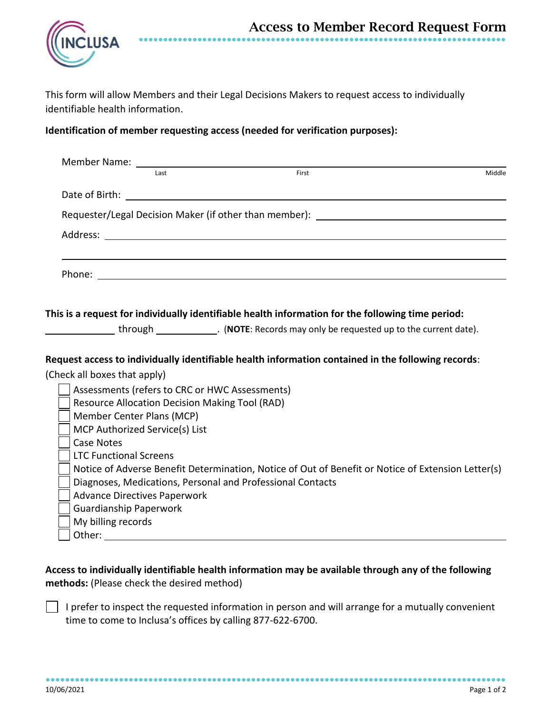

This form will allow Members and their Legal Decisions Makers to request access to individually identifiable health information.

## **Identification of member requesting access (needed for verification purposes):**

|                                                                                                    |                                                            | Member Name: University of the Member Name: |       |                                                                                                    |  |
|----------------------------------------------------------------------------------------------------|------------------------------------------------------------|---------------------------------------------|-------|----------------------------------------------------------------------------------------------------|--|
|                                                                                                    | Last                                                       |                                             | First | Middle                                                                                             |  |
|                                                                                                    |                                                            |                                             |       |                                                                                                    |  |
| Requester/Legal Decision Maker (if other than member): _________________________                   |                                                            |                                             |       |                                                                                                    |  |
|                                                                                                    |                                                            |                                             |       |                                                                                                    |  |
|                                                                                                    |                                                            |                                             |       |                                                                                                    |  |
|                                                                                                    |                                                            |                                             |       | This is a request for individually identifiable health information for the following time period:  |  |
|                                                                                                    |                                                            |                                             |       |                                                                                                    |  |
|                                                                                                    |                                                            |                                             |       |                                                                                                    |  |
|                                                                                                    |                                                            |                                             |       | Request access to individually identifiable health information contained in the following records: |  |
| (Check all boxes that apply)                                                                       |                                                            |                                             |       |                                                                                                    |  |
| Assessments (refers to CRC or HWC Assessments)                                                     |                                                            |                                             |       |                                                                                                    |  |
| <b>Resource Allocation Decision Making Tool (RAD)</b>                                              |                                                            |                                             |       |                                                                                                    |  |
| Member Center Plans (MCP)                                                                          |                                                            |                                             |       |                                                                                                    |  |
| MCP Authorized Service(s) List                                                                     |                                                            |                                             |       |                                                                                                    |  |
| <b>Case Notes</b>                                                                                  |                                                            |                                             |       |                                                                                                    |  |
|                                                                                                    | <b>LTC Functional Screens</b>                              |                                             |       |                                                                                                    |  |
| Notice of Adverse Benefit Determination, Notice of Out of Benefit or Notice of Extension Letter(s) |                                                            |                                             |       |                                                                                                    |  |
|                                                                                                    | Diagnoses, Medications, Personal and Professional Contacts |                                             |       |                                                                                                    |  |
|                                                                                                    | <b>Advance Directives Paperwork</b>                        |                                             |       |                                                                                                    |  |
|                                                                                                    | <b>Guardianship Paperwork</b>                              |                                             |       |                                                                                                    |  |
|                                                                                                    | My billing records                                         |                                             |       |                                                                                                    |  |
| Other:                                                                                             |                                                            |                                             |       |                                                                                                    |  |

**Access to individually identifiable health information may be available through any of the following methods:** (Please check the desired method)

I prefer to inspect the requested information in person and will arrange for a mutually convenient time to come to Inclusa's offices by calling 877-622-6700.

●●●●●●●●●●●●●●●●●●●●●●●●●●●●●●●●●●●●●●●●●●●●●●●●●●●●●●●●●●●●●●●●●●●●●●●●●●●●●●●●●●●●●●●●●●●●●●